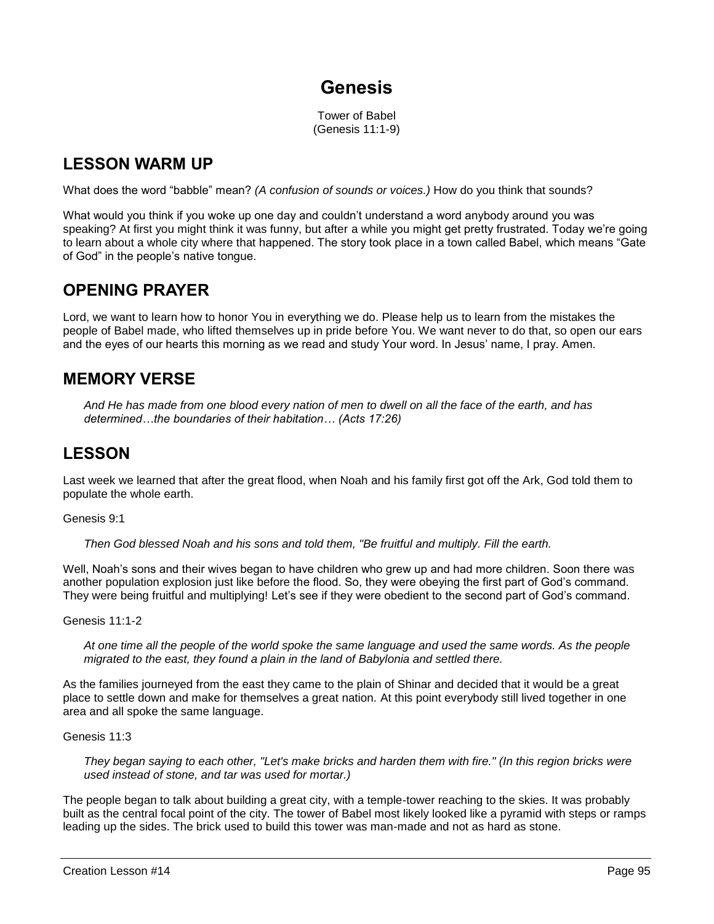# **Genesis**

Tower of Babel (Genesis 11:1-9)

### **LESSON WARM UP**

What does the word "babble" mean? *(A confusion of sounds or voices.)* How do you think that sounds?

What would you think if you woke up one day and couldn't understand a word anybody around you was speaking? At first you might think it was funny, but after a while you might get pretty frustrated. Today we're going to learn about a whole city where that happened. The story took place in a town called Babel, which means "Gate of God" in the people's native tongue.

### **OPENING PRAYER**

Lord, we want to learn how to honor You in everything we do. Please help us to learn from the mistakes the people of Babel made, who lifted themselves up in pride before You. We want never to do that, so open our ears and the eyes of our hearts this morning as we read and study Your word. In Jesus' name, I pray. Amen.

### **MEMORY VERSE**

*And He has made from one blood every nation of men to dwell on all the face of the earth, and has determined…the boundaries of their habitation… (Acts 17:26)*

### **LESSON**

Last week we learned that after the great flood, when Noah and his family first got off the Ark, God told them to populate the whole earth.

Genesis 9:1

*Then God blessed Noah and his sons and told them, "Be fruitful and multiply. Fill the earth.*

Well, Noah's sons and their wives began to have children who grew up and had more children. Soon there was another population explosion just like before the flood. So, they were obeying the first part of God's command. They were being fruitful and multiplying! Let's see if they were obedient to the second part of God's command.

Genesis 11:1-2

*At one time all the people of the world spoke the same language and used the same words. As the people migrated to the east, they found a plain in the land of Babylonia and settled there.* 

As the families journeyed from the east they came to the plain of Shinar and decided that it would be a great place to settle down and make for themselves a great nation. At this point everybody still lived together in one area and all spoke the same language.

Genesis 11:3

*They began saying to each other, "Let's make bricks and harden them with fire." (In this region bricks were used instead of stone, and tar was used for mortar.)* 

The people began to talk about building a great city, with a temple-tower reaching to the skies. It was probably built as the central focal point of the city. The tower of Babel most likely looked like a pyramid with steps or ramps leading up the sides. The brick used to build this tower was man-made and not as hard as stone.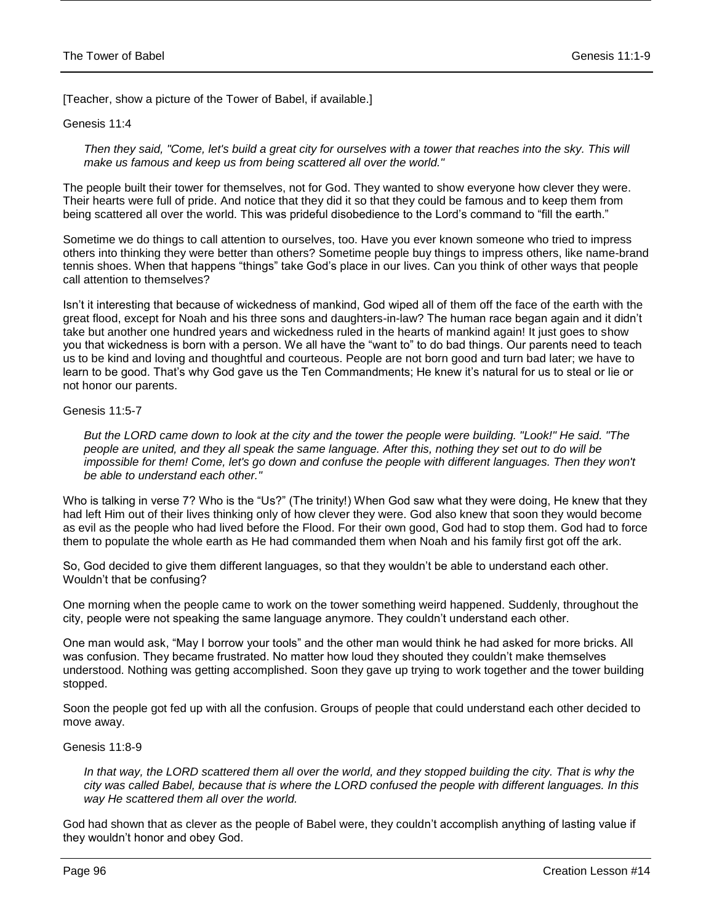[Teacher, show a picture of the Tower of Babel, if available.]

#### Genesis 11:4

Then they said, "Come, let's build a great city for ourselves with a tower that reaches into the sky. This will *make us famous and keep us from being scattered all over the world."*

The people built their tower for themselves, not for God. They wanted to show everyone how clever they were. Their hearts were full of pride. And notice that they did it so that they could be famous and to keep them from being scattered all over the world. This was prideful disobedience to the Lord's command to "fill the earth."

Sometime we do things to call attention to ourselves, too. Have you ever known someone who tried to impress others into thinking they were better than others? Sometime people buy things to impress others, like name-brand tennis shoes. When that happens "things" take God's place in our lives. Can you think of other ways that people call attention to themselves?

Isn't it interesting that because of wickedness of mankind, God wiped all of them off the face of the earth with the great flood, except for Noah and his three sons and daughters-in-law? The human race began again and it didn't take but another one hundred years and wickedness ruled in the hearts of mankind again! It just goes to show you that wickedness is born with a person. We all have the "want to" to do bad things. Our parents need to teach us to be kind and loving and thoughtful and courteous. People are not born good and turn bad later; we have to learn to be good. That's why God gave us the Ten Commandments; He knew it's natural for us to steal or lie or not honor our parents.

#### Genesis 11:5-7

*But the LORD came down to look at the city and the tower the people were building. "Look!" He said. "The people are united, and they all speak the same language. After this, nothing they set out to do will be impossible for them! Come, let's go down and confuse the people with different languages. Then they won't be able to understand each other."*

Who is talking in verse 7? Who is the "Us?" (The trinity!) When God saw what they were doing, He knew that they had left Him out of their lives thinking only of how clever they were. God also knew that soon they would become as evil as the people who had lived before the Flood. For their own good, God had to stop them. God had to force them to populate the whole earth as He had commanded them when Noah and his family first got off the ark.

So, God decided to give them different languages, so that they wouldn't be able to understand each other. Wouldn't that be confusing?

One morning when the people came to work on the tower something weird happened. Suddenly, throughout the city, people were not speaking the same language anymore. They couldn't understand each other.

One man would ask, "May I borrow your tools" and the other man would think he had asked for more bricks. All was confusion. They became frustrated. No matter how loud they shouted they couldn't make themselves understood. Nothing was getting accomplished. Soon they gave up trying to work together and the tower building stopped.

Soon the people got fed up with all the confusion. Groups of people that could understand each other decided to move away.

#### Genesis 11:8-9

In that way, the LORD scattered them all over the world, and they stopped building the city. That is why the *city was called Babel, because that is where the LORD confused the people with different languages. In this way He scattered them all over the world.*

God had shown that as clever as the people of Babel were, they couldn't accomplish anything of lasting value if they wouldn't honor and obey God.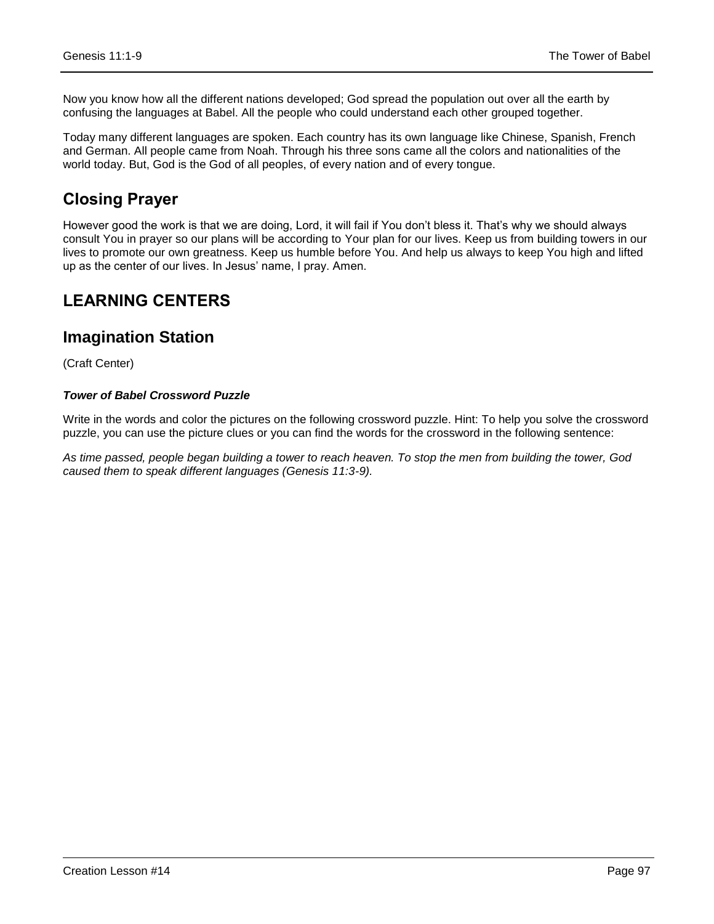Now you know how all the different nations developed; God spread the population out over all the earth by confusing the languages at Babel. All the people who could understand each other grouped together.

Today many different languages are spoken. Each country has its own language like Chinese, Spanish, French and German. All people came from Noah. Through his three sons came all the colors and nationalities of the world today. But, God is the God of all peoples, of every nation and of every tongue.

### **Closing Prayer**

However good the work is that we are doing, Lord, it will fail if You don't bless it. That's why we should always consult You in prayer so our plans will be according to Your plan for our lives. Keep us from building towers in our lives to promote our own greatness. Keep us humble before You. And help us always to keep You high and lifted up as the center of our lives. In Jesus' name, I pray. Amen.

### **LEARNING CENTERS**

### **Imagination Station**

(Craft Center)

#### *Tower of Babel Crossword Puzzle*

Write in the words and color the pictures on the following crossword puzzle. Hint: To help you solve the crossword puzzle, you can use the picture clues or you can find the words for the crossword in the following sentence:

*As time passed, people began building a tower to reach heaven. To stop the men from building the tower, God caused them to speak different languages (Genesis 11:3-9).*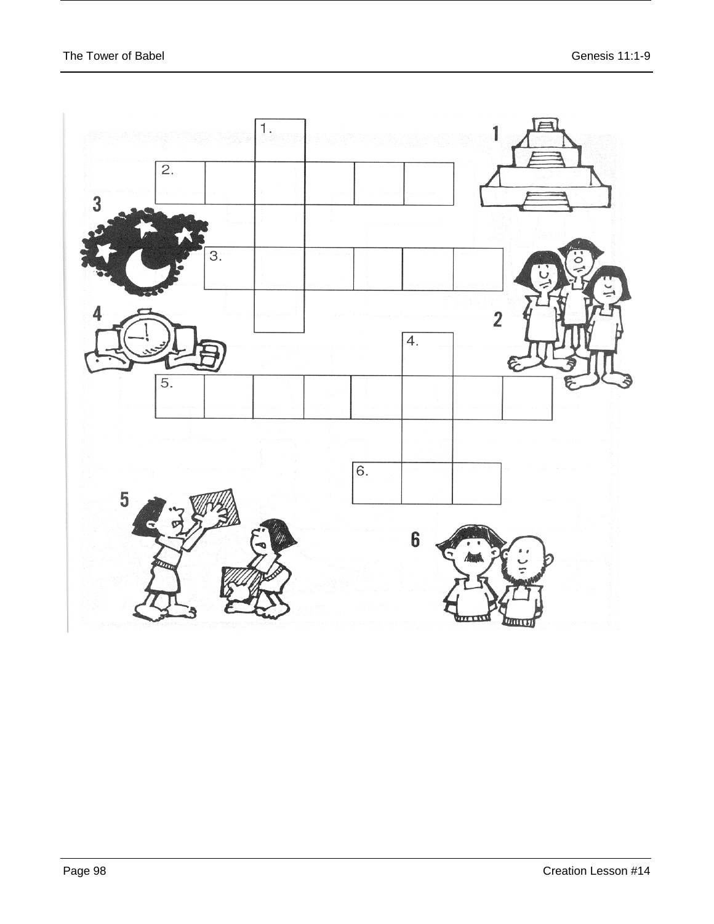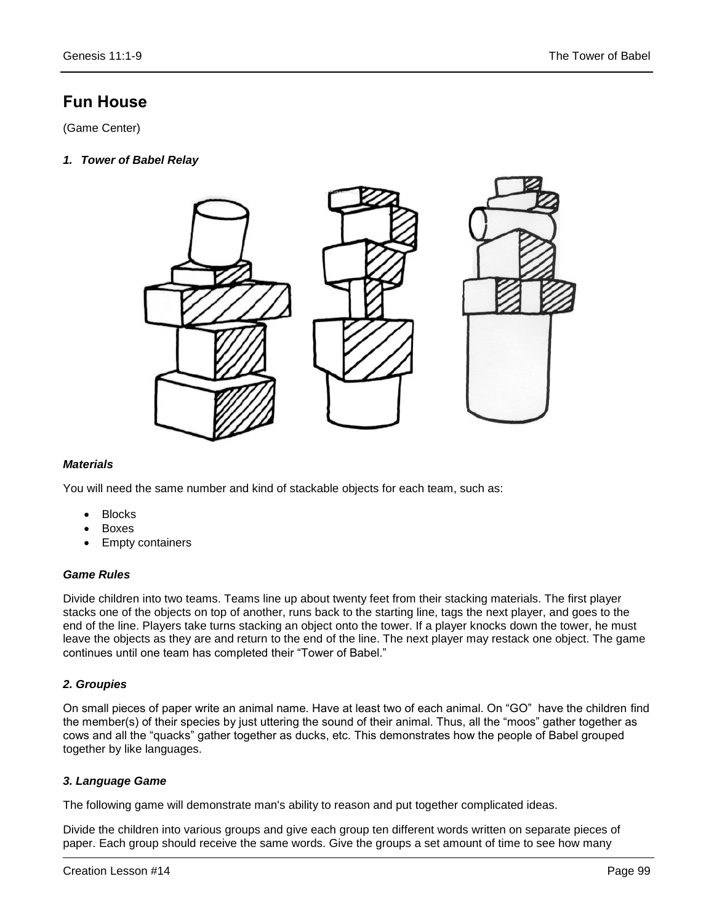## **Fun House**

(Game Center)

*1. Tower of Babel Relay*



#### *Materials*

You will need the same number and kind of stackable objects for each team, such as:

- Blocks
- Boxes
- Empty containers

#### *Game Rules*

Divide children into two teams. Teams line up about twenty feet from their stacking materials. The first player stacks one of the objects on top of another, runs back to the starting line, tags the next player, and goes to the end of the line. Players take turns stacking an object onto the tower. If a player knocks down the tower, he must leave the objects as they are and return to the end of the line. The next player may restack one object. The game continues until one team has completed their "Tower of Babel."

#### *2. Groupies*

On small pieces of paper write an animal name. Have at least two of each animal. On "GO" have the children find the member(s) of their species by just uttering the sound of their animal. Thus, all the "moos" gather together as cows and all the "quacks" gather together as ducks, etc. This demonstrates how the people of Babel grouped together by like languages.

#### *3. Language Game*

The following game will demonstrate man's ability to reason and put together complicated ideas.

Divide the children into various groups and give each group ten different words written on separate pieces of paper. Each group should receive the same words. Give the groups a set amount of time to see how many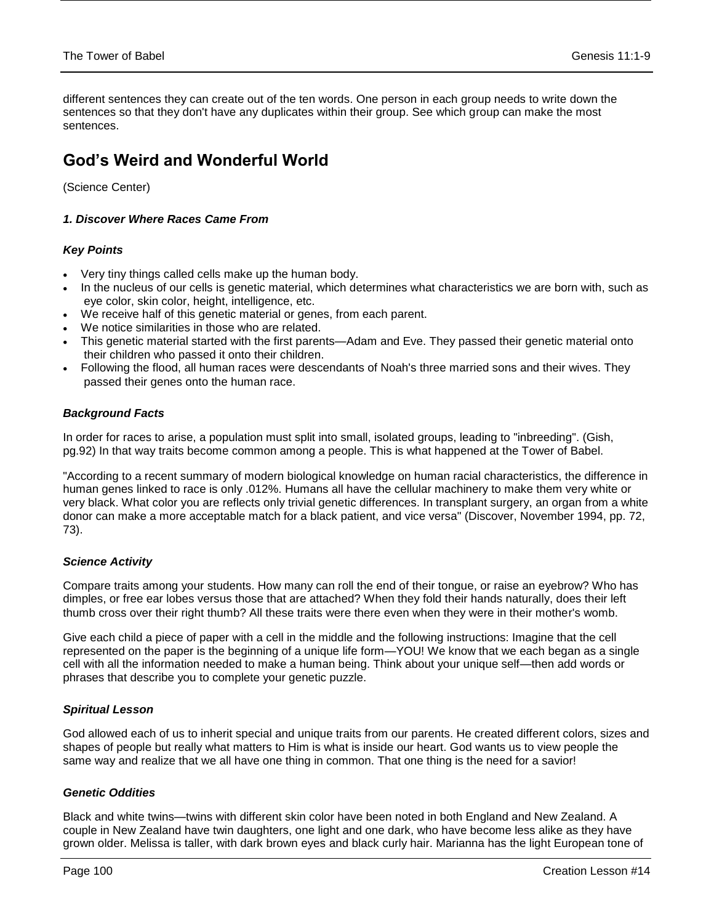different sentences they can create out of the ten words. One person in each group needs to write down the sentences so that they don't have any duplicates within their group. See which group can make the most sentences.

## **God's Weird and Wonderful World**

(Science Center)

#### *1. Discover Where Races Came From*

#### *Key Points*

- Very tiny things called cells make up the human body.
- In the nucleus of our cells is genetic material, which determines what characteristics we are born with, such as eye color, skin color, height, intelligence, etc.
- We receive half of this genetic material or genes, from each parent.
- We notice similarities in those who are related.
- This genetic material started with the first parents—Adam and Eve. They passed their genetic material onto their children who passed it onto their children.
- Following the flood, all human races were descendants of Noah's three married sons and their wives. They passed their genes onto the human race.

#### *Background Facts*

In order for races to arise, a population must split into small, isolated groups, leading to "inbreeding". (Gish, pg.92) In that way traits become common among a people. This is what happened at the Tower of Babel.

"According to a recent summary of modern biological knowledge on human racial characteristics, the difference in human genes linked to race is only .012%. Humans all have the cellular machinery to make them very white or very black. What color you are reflects only trivial genetic differences. In transplant surgery, an organ from a white donor can make a more acceptable match for a black patient, and vice versa" (Discover, November 1994, pp. 72, 73).

#### *Science Activity*

Compare traits among your students. How many can roll the end of their tongue, or raise an eyebrow? Who has dimples, or free ear lobes versus those that are attached? When they fold their hands naturally, does their left thumb cross over their right thumb? All these traits were there even when they were in their mother's womb.

Give each child a piece of paper with a cell in the middle and the following instructions: Imagine that the cell represented on the paper is the beginning of a unique life form—YOU! We know that we each began as a single cell with all the information needed to make a human being. Think about your unique self—then add words or phrases that describe you to complete your genetic puzzle.

#### *Spiritual Lesson*

God allowed each of us to inherit special and unique traits from our parents. He created different colors, sizes and shapes of people but really what matters to Him is what is inside our heart. God wants us to view people the same way and realize that we all have one thing in common. That one thing is the need for a savior!

#### *Genetic Oddities*

Black and white twins—twins with different skin color have been noted in both England and New Zealand. A couple in New Zealand have twin daughters, one light and one dark, who have become less alike as they have grown older. Melissa is taller, with dark brown eyes and black curly hair. Marianna has the light European tone of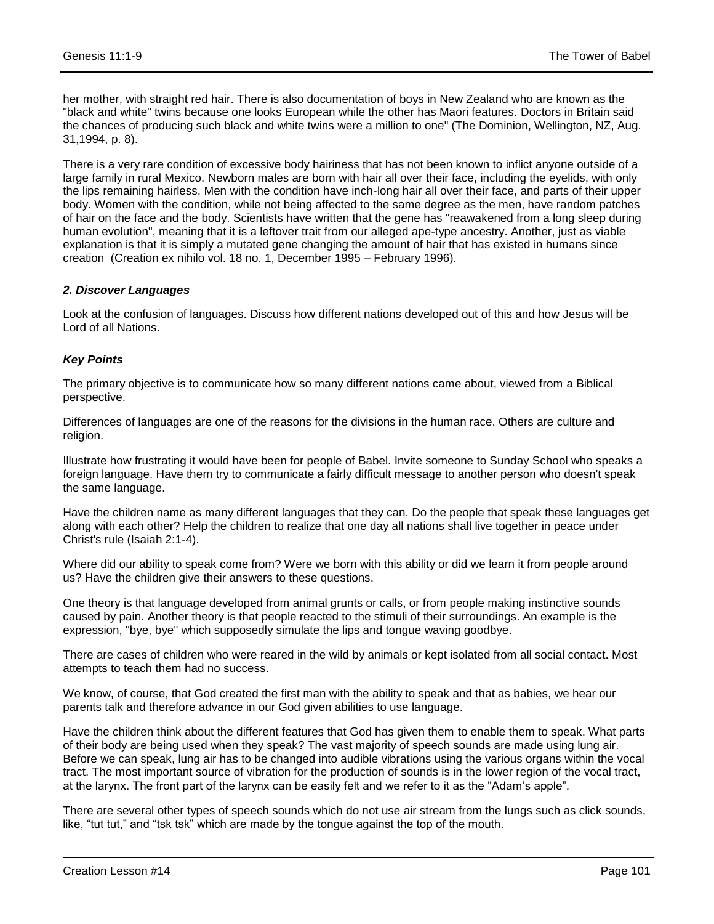her mother, with straight red hair. There is also documentation of boys in New Zealand who are known as the "black and white" twins because one looks European while the other has Maori features. Doctors in Britain said the chances of producing such black and white twins were a million to one" (The Dominion, Wellington, NZ, Aug. 31,1994, p. 8).

There is a very rare condition of excessive body hairiness that has not been known to inflict anyone outside of a large family in rural Mexico. Newborn males are born with hair all over their face, including the eyelids, with only the lips remaining hairless. Men with the condition have inch-long hair all over their face, and parts of their upper body. Women with the condition, while not being affected to the same degree as the men, have random patches of hair on the face and the body. Scientists have written that the gene has "reawakened from a long sleep during human evolution", meaning that it is a leftover trait from our alleged ape-type ancestry. Another, just as viable explanation is that it is simply a mutated gene changing the amount of hair that has existed in humans since creation (Creation ex nihilo vol. 18 no. 1, December 1995 – February 1996).

#### *2. Discover Languages*

Look at the confusion of languages. Discuss how different nations developed out of this and how Jesus will be Lord of all Nations.

#### *Key Points*

The primary objective is to communicate how so many different nations came about, viewed from a Biblical perspective.

Differences of languages are one of the reasons for the divisions in the human race. Others are culture and religion.

Illustrate how frustrating it would have been for people of Babel. Invite someone to Sunday School who speaks a foreign language. Have them try to communicate a fairly difficult message to another person who doesn't speak the same language.

Have the children name as many different languages that they can. Do the people that speak these languages get along with each other? Help the children to realize that one day all nations shall live together in peace under Christ's rule (Isaiah 2:1-4).

Where did our ability to speak come from? Were we born with this ability or did we learn it from people around us? Have the children give their answers to these questions.

One theory is that language developed from animal grunts or calls, or from people making instinctive sounds caused by pain. Another theory is that people reacted to the stimuli of their surroundings. An example is the expression, "bye, bye" which supposedly simulate the lips and tongue waving goodbye.

There are cases of children who were reared in the wild by animals or kept isolated from all social contact. Most attempts to teach them had no success.

We know, of course, that God created the first man with the ability to speak and that as babies, we hear our parents talk and therefore advance in our God given abilities to use language.

Have the children think about the different features that God has given them to enable them to speak. What parts of their body are being used when they speak? The vast majority of speech sounds are made using lung air. Before we can speak, lung air has to be changed into audible vibrations using the various organs within the vocal tract. The most important source of vibration for the production of sounds is in the lower region of the vocal tract, at the larynx. The front part of the larynx can be easily felt and we refer to it as the "Adam's apple".

There are several other types of speech sounds which do not use air stream from the lungs such as click sounds, like, "tut tut," and "tsk tsk" which are made by the tongue against the top of the mouth.